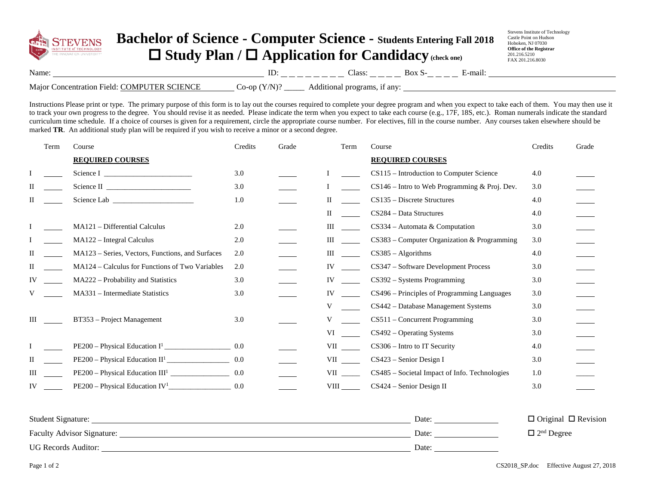

## **Bachelor of Science - Computer Science - Students Entering Fall 2018**  □ Study Plan / □ Application for Candidacy (check one)

Stevens Institute of Technology Castle Point on Hudson Hoboken, NJ 07030 **Office of the Registrar** 201.216.5210 FAX 201.216.8030

| Name | --- | 'lacc<br>_____ | ma<br>_____ |
|------|-----|----------------|-------------|
|      |     |                |             |

Major Concentration Field: COMPUTER SCIENCE Co-op (Y/N)? \_\_\_\_\_ Additional programs, if any:

Instructions Please print or type. The primary purpose of this form is to lay out the courses required to complete your degree program and when you expect to take each of them. You may then use it to track your own progress to the degree. You should revise it as needed. Please indicate the term when you expect to take each course (e.g., 17F, 18S, etc.). Roman numerals indicate the standard curriculum time schedule. If a choice of courses is given for a requirement, circle the appropriate course number. For electives, fill in the course number. Any courses taken elsewhere should be marked **TR**. An additional study plan will be required if you wish to receive a minor or a second degree.

|    | Term | Course                                           | Credits | Grade | Term                                                                                                                                                                                                                           | Course                                          | Credits | Grade |
|----|------|--------------------------------------------------|---------|-------|--------------------------------------------------------------------------------------------------------------------------------------------------------------------------------------------------------------------------------|-------------------------------------------------|---------|-------|
|    |      | <b>REQUIRED COURSES</b>                          |         |       |                                                                                                                                                                                                                                | <b>REQUIRED COURSES</b>                         |         |       |
|    |      |                                                  | 3.0     |       |                                                                                                                                                                                                                                | CS115 - Introduction to Computer Science        | 4.0     |       |
| П  |      |                                                  | 3.0     |       |                                                                                                                                                                                                                                | $CS146$ – Intro to Web Programming & Proj. Dev. | 3.0     |       |
| П  |      |                                                  | 1.0     |       | П                                                                                                                                                                                                                              | $CS135 - Discrete Structures$                   | 4.0     |       |
|    |      |                                                  |         |       | $\mathbf{H}$                                                                                                                                                                                                                   | CS284 - Data Structures                         | 4.0     |       |
|    |      | MA121 - Differential Calculus                    | 2.0     |       | Ш                                                                                                                                                                                                                              | CS334 - Automata & Computation                  | 3.0     |       |
|    |      | MA122 - Integral Calculus                        | 2.0     |       | Ш                                                                                                                                                                                                                              | CS383 - Computer Organization & Programming     | 3.0     |       |
| П  |      | MA123 – Series, Vectors, Functions, and Surfaces | 2.0     |       | Ш                                                                                                                                                                                                                              | $CS385 - Algorithms$                            | 4.0     |       |
| П  |      | MA124 – Calculus for Functions of Two Variables  | 2.0     |       | IV                                                                                                                                                                                                                             | CS347 - Software Development Process            | 3.0     |       |
| IV |      | MA222 - Probability and Statistics               | 3.0     |       | IV                                                                                                                                                                                                                             | $CS392 - Systems Programming$                   | 3.0     |       |
| V  |      | MA331 - Intermediate Statistics                  | 3.0     |       | IV                                                                                                                                                                                                                             | CS496 - Principles of Programming Languages     | 3.0     |       |
|    |      |                                                  |         |       | V                                                                                                                                                                                                                              | CS442 - Database Management Systems             | 3.0     |       |
| Ш  |      | BT353 - Project Management                       | 3.0     |       |                                                                                                                                                                                                                                | CS511 - Concurrent Programming                  | 3.0     |       |
|    |      |                                                  |         |       | VI                                                                                                                                                                                                                             | $CS492 - Operating Systems$                     | 3.0     |       |
|    |      |                                                  | 0.0     |       | VII version of the set of the set of the set of the set of the set of the set of the set of the set of the set of the set of the set of the set of the set of the set of the set of the set of the set of the set of the set o | CS306 - Intro to IT Security                    | 4.0     |       |
| П  |      |                                                  | 0.0     |       | VII QUEL                                                                                                                                                                                                                       | $CS423$ – Senior Design I                       | 3.0     |       |
| Ш  |      |                                                  | 0.0     |       | VII QUEL                                                                                                                                                                                                                       | CS485 - Societal Impact of Info. Technologies   | 1.0     |       |
| IV |      |                                                  | 0.0     |       | <b>VIII</b>                                                                                                                                                                                                                    | CS424 - Senior Design II                        | 3.0     |       |
|    |      |                                                  |         |       |                                                                                                                                                                                                                                |                                                 |         |       |

| <b>Student Signature:</b>         | Date: | $\Box$ Original $\Box$ Revision |
|-----------------------------------|-------|---------------------------------|
| <b>Faculty Advisor Signature:</b> | Date: | $\Box$ 2 <sup>nd</sup> Degree   |
| <b>UG Records Auditor:</b>        | Date: |                                 |